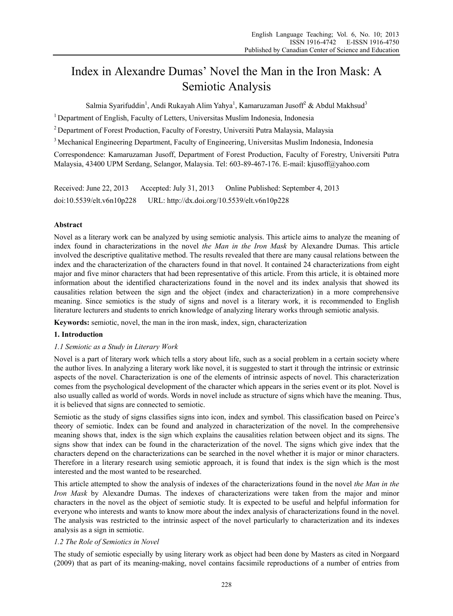# Index in Alexandre Dumas' Novel the Man in the Iron Mask: A Semiotic Analysis

Salmia Syarifuddin<sup>1</sup>, Andi Rukayah Alim Yahya<sup>1</sup>, Kamaruzaman Jusoff<sup>2</sup> & Abdul Makhsud<sup>3</sup>

<sup>1</sup> Department of English, Faculty of Letters, Universitas Muslim Indonesia, Indonesia

<sup>2</sup> Department of Forest Production, Faculty of Forestry, Universiti Putra Malaysia, Malaysia

<sup>3</sup> Mechanical Engineering Department, Faculty of Engineering, Universitas Muslim Indonesia, Indonesia

Correspondence: Kamaruzaman Jusoff, Department of Forest Production, Faculty of Forestry, Universiti Putra Malaysia, 43400 UPM Serdang, Selangor, Malaysia. Tel: 603-89-467-176. E-mail: kjusoff@yahoo.com

Received: June 22, 2013 Accepted: July 31, 2013 Online Published: September 4, 2013 doi:10.5539/elt.v6n10p228 URL: http://dx.doi.org/10.5539/elt.v6n10p228

# **Abstract**

Novel as a literary work can be analyzed by using semiotic analysis. This article aims to analyze the meaning of index found in characterizations in the novel *the Man in the Iron Mask* by Alexandre Dumas. This article involved the descriptive qualitative method. The results revealed that there are many causal relations between the index and the characterization of the characters found in that novel. It contained 24 characterizations from eight major and five minor characters that had been representative of this article. From this article, it is obtained more information about the identified characterizations found in the novel and its index analysis that showed its causalities relation between the sign and the object (index and characterization) in a more comprehensive meaning. Since semiotics is the study of signs and novel is a literary work, it is recommended to English literature lecturers and students to enrich knowledge of analyzing literary works through semiotic analysis.

**Keywords:** semiotic, novel, the man in the iron mask, index, sign, characterization

# **1. Introduction**

# *1.1 Semiotic as a Study in Literary Work*

Novel is a part of literary work which tells a story about life, such as a social problem in a certain society where the author lives. In analyzing a literary work like novel, it is suggested to start it through the intrinsic or extrinsic aspects of the novel. Characterization is one of the elements of intrinsic aspects of novel. This characterization comes from the psychological development of the character which appears in the series event or its plot. Novel is also usually called as world of words. Words in novel include as structure of signs which have the meaning. Thus, it is believed that signs are connected to semiotic.

Semiotic as the study of signs classifies signs into icon, index and symbol. This classification based on Peirce's theory of semiotic. Index can be found and analyzed in characterization of the novel. In the comprehensive meaning shows that, index is the sign which explains the causalities relation between object and its signs. The signs show that index can be found in the characterization of the novel. The signs which give index that the characters depend on the characterizations can be searched in the novel whether it is major or minor characters. Therefore in a literary research using semiotic approach, it is found that index is the sign which is the most interested and the most wanted to be researched.

This article attempted to show the analysis of indexes of the characterizations found in the novel *the Man in the Iron Mask* by Alexandre Dumas. The indexes of characterizations were taken from the major and minor characters in the novel as the object of semiotic study. It is expected to be useful and helpful information for everyone who interests and wants to know more about the index analysis of characterizations found in the novel. The analysis was restricted to the intrinsic aspect of the novel particularly to characterization and its indexes analysis as a sign in semiotic.

# *1.2 The Role of Semiotics in Novel*

The study of semiotic especially by using literary work as object had been done by Masters as cited in Norgaard (2009) that as part of its meaning-making, novel contains facsimile reproductions of a number of entries from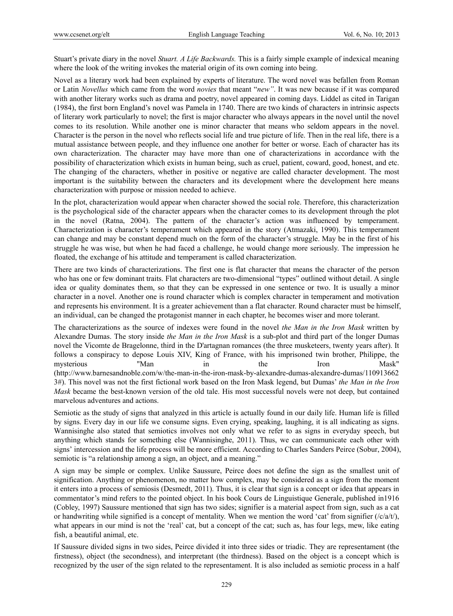Stuart's private diary in the novel *Stuart. A Life Backwards.* This is a fairly simple example of indexical meaning where the look of the writing invokes the material origin of its own coming into being.

Novel as a literary work had been explained by experts of literature. The word novel was befallen from Roman or Latin *Novellus* which came from the word *novies* that meant "*new"*. It was new because if it was compared with another literary works such as drama and poetry, novel appeared in coming days. Liddel as cited in Tarigan (1984), the first born England's novel was Pamela in 1740. There are two kinds of characters in intrinsic aspects of literary work particularly to novel; the first is major character who always appears in the novel until the novel comes to its resolution. While another one is minor character that means who seldom appears in the novel. Character is the person in the novel who reflects social life and true picture of life. Then in the real life, there is a mutual assistance between people, and they influence one another for better or worse. Each of character has its own characterization. The character may have more than one of characterizations in accordance with the possibility of characterization which exists in human being, such as cruel, patient, coward, good, honest, and etc. The changing of the characters, whether in positive or negative are called character development. The most important is the suitability between the characters and its development where the development here means characterization with purpose or mission needed to achieve.

In the plot, characterization would appear when character showed the social role. Therefore, this characterization is the psychological side of the character appears when the character comes to its development through the plot in the novel (Ratna, 2004). The pattern of the character's action was influenced by temperament. Characterization is character's temperament which appeared in the story (Atmazaki, 1990). This temperament can change and may be constant depend much on the form of the character's struggle. May be in the first of his struggle he was wise, but when he had faced a challenge, he would change more seriously. The impression he floated, the exchange of his attitude and temperament is called characterization.

There are two kinds of characterizations. The first one is flat character that means the character of the person who has one or few dominant traits. Flat characters are two-dimensional "types" outlined without detail. A single idea or quality dominates them, so that they can be expressed in one sentence or two. It is usually a minor character in a novel. Another one is round character which is complex character in temperament and motivation and represents his environment. It is a greater achievement than a flat character. Round character must be himself, an individual, can be changed the protagonist manner in each chapter, he becomes wiser and more tolerant.

The characterizations as the source of indexes were found in the novel *the Man in the Iron Mask* written by Alexandre Dumas. The story inside *the Man in the Iron Mask* is a sub-plot and third part of the longer Dumas novel the Vicomte de Bragelonne, third in the D'artagnan romances (the three musketeers, twenty years after). It follows a conspiracy to depose Louis XIV, King of France, with his imprisoned twin brother, Philippe, the mysterious "Man in the Iron Mask" (http://www.barnesandnoble.com/w/the-man-in-the-iron-mask-by-alexandre-dumas-alexandre-dumas/110913662 3#). This novel was not the first fictional work based on the Iron Mask legend, but Dumas' *the Man in the Iron Mask* became the best-known version of the old tale. His most successful novels were not deep, but contained marvelous adventures and actions.

Semiotic as the study of signs that analyzed in this article is actually found in our daily life. Human life is filled by signs. Every day in our life we consume signs. Even crying, speaking, laughing, it is all indicating as signs. Wannisinghe also stated that semiotics involves not only what we refer to as signs in everyday speech, but anything which stands for something else (Wannisinghe, 2011). Thus, we can communicate each other with signs' intercession and the life process will be more efficient. According to Charles Sanders Peirce (Sobur, 2004), semiotic is "a relationship among a sign, an object, and a meaning."

A sign may be simple or complex. Unlike Saussure, Peirce does not define the sign as the smallest unit of signification. Anything or phenomenon, no matter how complex, may be considered as a sign from the moment it enters into a process of semiosis (Desmedt, 2011). Thus, it is clear that sign is a concept or idea that appears in commentator's mind refers to the pointed object. In his book Cours de Linguistique Generale, published in1916 (Cobley, 1997) Saussure mentioned that sign has two sides; signifier is a material aspect from sign, such as a cat or handwriting while signified is a concept of mentality. When we mention the word 'cat' from signifier  $\left(\frac{\lambda}{a}t\right)$ , what appears in our mind is not the 'real' cat, but a concept of the cat; such as, has four legs, mew, like eating fish, a beautiful animal, etc.

If Saussure divided signs in two sides, Peirce divided it into three sides or triadic. They are representament (the firstness), object (the secondness), and interpretant (the thirdness). Based on the object is a concept which is recognized by the user of the sign related to the representament. It is also included as semiotic process in a half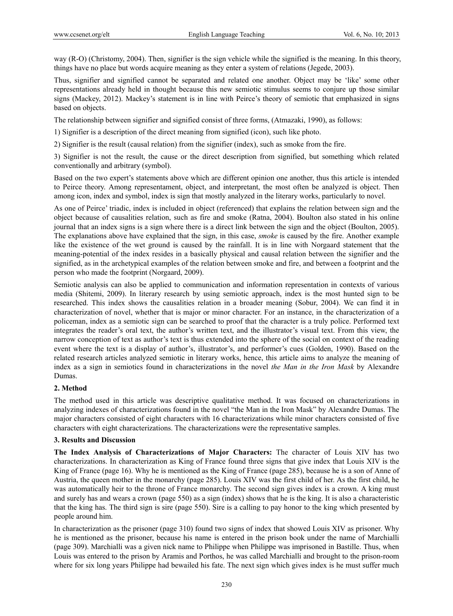way (R-O) (Christomy, 2004). Then, signifier is the sign vehicle while the signified is the meaning. In this theory, things have no place but words acquire meaning as they enter a system of relations (Jegede, 2003).

Thus, signifier and signified cannot be separated and related one another. Object may be 'like' some other representations already held in thought because this new semiotic stimulus seems to conjure up those similar signs (Mackey, 2012). Mackey's statement is in line with Peirce's theory of semiotic that emphasized in signs based on objects.

The relationship between signifier and signified consist of three forms, (Atmazaki, 1990), as follows:

1) Signifier is a description of the direct meaning from signified (icon), such like photo.

2) Signifier is the result (causal relation) from the signifier (index), such as smoke from the fire.

3) Signifier is not the result, the cause or the direct description from signified, but something which related conventionally and arbitrary (symbol).

Based on the two expert's statements above which are different opinion one another, thus this article is intended to Peirce theory. Among representament, object, and interpretant, the most often be analyzed is object. Then among icon, index and symbol, index is sign that mostly analyzed in the literary works, particularly to novel.

As one of Peirce' triadic, index is included in object (referenced) that explains the relation between sign and the object because of causalities relation, such as fire and smoke (Ratna, 2004). Boulton also stated in his online journal that an index signs is a sign where there is a direct link between the sign and the object (Boulton, 2005). The explanations above have explained that the sign, in this case, *smoke* is caused by the fire. Another example like the existence of the wet ground is caused by the rainfall. It is in line with Norgaard statement that the meaning-potential of the index resides in a basically physical and causal relation between the signifier and the signified, as in the archetypical examples of the relation between smoke and fire, and between a footprint and the person who made the footprint (Norgaard, 2009).

Semiotic analysis can also be applied to communication and information representation in contexts of various media (Shitemi, 2009). In literary research by using semiotic approach, index is the most hunted sign to be researched. This index shows the causalities relation in a broader meaning (Sobur, 2004). We can find it in characterization of novel, whether that is major or minor character. For an instance, in the characterization of a policeman, index as a semiotic sign can be searched to proof that the character is a truly police. Performed text integrates the reader's oral text, the author's written text, and the illustrator's visual text. From this view, the narrow conception of text as author's text is thus extended into the sphere of the social on context of the reading event where the text is a display of author's, illustrator's, and performer's cues (Golden, 1990). Based on the related research articles analyzed semiotic in literary works, hence, this article aims to analyze the meaning of index as a sign in semiotics found in characterizations in the novel *the Man in the Iron Mask* by Alexandre Dumas.

## **2. Method**

The method used in this article was descriptive qualitative method. It was focused on characterizations in analyzing indexes of characterizations found in the novel "the Man in the Iron Mask" by Alexandre Dumas. The major characters consisted of eight characters with 16 characterizations while minor characters consisted of five characters with eight characterizations. The characterizations were the representative samples.

#### **3. Results and Discussion**

**The Index Analysis of Characterizations of Major Characters:** The character of Louis XIV has two characterizations. In characterization as King of France found three signs that give index that Louis XIV is the King of France (page 16). Why he is mentioned as the King of France (page 285), because he is a son of Anne of Austria, the queen mother in the monarchy (page 285). Louis XIV was the first child of her. As the first child, he was automatically heir to the throne of France monarchy. The second sign gives index is a crown. A king must and surely has and wears a crown (page 550) as a sign (index) shows that he is the king. It is also a characteristic that the king has. The third sign is sire (page 550). Sire is a calling to pay honor to the king which presented by people around him.

In characterization as the prisoner (page 310) found two signs of index that showed Louis XIV as prisoner. Why he is mentioned as the prisoner, because his name is entered in the prison book under the name of Marchialli (page 309). Marchialli was a given nick name to Philippe when Philippe was imprisoned in Bastille. Thus, when Louis was entered to the prison by Aramis and Porthos, he was called Marchialli and brought to the prison-room where for six long years Philippe had bewailed his fate. The next sign which gives index is he must suffer much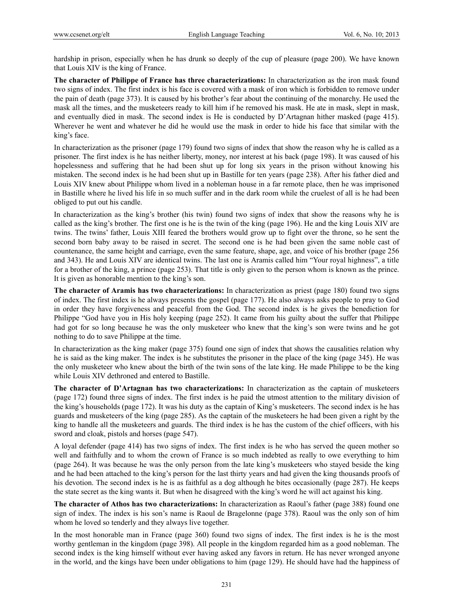hardship in prison, especially when he has drunk so deeply of the cup of pleasure (page 200). We have known that Louis XIV is the king of France.

**The character of Philippe of France has three characterizations:** In characterization as the iron mask found two signs of index. The first index is his face is covered with a mask of iron which is forbidden to remove under the pain of death (page 373). It is caused by his brother's fear about the continuing of the monarchy. He used the mask all the times, and the musketeers ready to kill him if he removed his mask. He ate in mask, slept in mask, and eventually died in mask. The second index is He is conducted by D'Artagnan hither masked (page 415). Wherever he went and whatever he did he would use the mask in order to hide his face that similar with the king's face.

In characterization as the prisoner (page 179) found two signs of index that show the reason why he is called as a prisoner. The first index is he has neither liberty, money, nor interest at his back (page 198). It was caused of his hopelessness and suffering that he had been shut up for long six years in the prison without knowing his mistaken. The second index is he had been shut up in Bastille for ten years (page 238). After his father died and Louis XIV knew about Philippe whom lived in a nobleman house in a far remote place, then he was imprisoned in Bastille where he lived his life in so much suffer and in the dark room while the cruelest of all is he had been obliged to put out his candle.

In characterization as the king's brother (his twin) found two signs of index that show the reasons why he is called as the king's brother. The first one is he is the twin of the king (page 196). He and the king Louis XIV are twins. The twins' father, Louis XIII feared the brothers would grow up to fight over the throne, so he sent the second born baby away to be raised in secret. The second one is he had been given the same noble cast of countenance, the same height and carriage, even the same feature, shape, age, and voice of his brother (page 256 and 343). He and Louis XIV are identical twins. The last one is Aramis called him "Your royal highness", a title for a brother of the king, a prince (page 253). That title is only given to the person whom is known as the prince. It is given as honorable mention to the king's son.

**The character of Aramis has two characterizations:** In characterization as priest (page 180) found two signs of index. The first index is he always presents the gospel (page 177). He also always asks people to pray to God in order they have forgiveness and peaceful from the God. The second index is he gives the benediction for Philippe "God have you in His holy keeping (page 252). It came from his guilty about the suffer that Philippe had got for so long because he was the only musketeer who knew that the king's son were twins and he got nothing to do to save Philippe at the time.

In characterization as the king maker (page 375) found one sign of index that shows the causalities relation why he is said as the king maker. The index is he substitutes the prisoner in the place of the king (page 345). He was the only musketeer who knew about the birth of the twin sons of the late king. He made Philippe to be the king while Louis XIV dethroned and entered to Bastille.

**The character of D'Artagnan has two characterizations:** In characterization as the captain of musketeers (page 172) found three signs of index. The first index is he paid the utmost attention to the military division of the king's households (page 172). It was his duty as the captain of King's musketeers. The second index is he has guards and musketeers of the king (page 285). As the captain of the musketeers he had been given a right by the king to handle all the musketeers and guards. The third index is he has the custom of the chief officers, with his sword and cloak, pistols and horses (page 547).

A loyal defender (page 414) has two signs of index. The first index is he who has served the queen mother so well and faithfully and to whom the crown of France is so much indebted as really to owe everything to him (page 264). It was because he was the only person from the late king's musketeers who stayed beside the king and he had been attached to the king's person for the last thirty years and had given the king thousands proofs of his devotion. The second index is he is as faithful as a dog although he bites occasionally (page 287). He keeps the state secret as the king wants it. But when he disagreed with the king's word he will act against his king.

**The character of Athos has two characterizations:** In characterization as Raoul's father (page 388) found one sign of index. The index is his son's name is Raoul de Bragelonne (page 378). Raoul was the only son of him whom he loved so tenderly and they always live together.

In the most honorable man in France (page 360) found two signs of index. The first index is he is the most worthy gentleman in the kingdom (page 398). All people in the kingdom regarded him as a good nobleman. The second index is the king himself without ever having asked any favors in return. He has never wronged anyone in the world, and the kings have been under obligations to him (page 129). He should have had the happiness of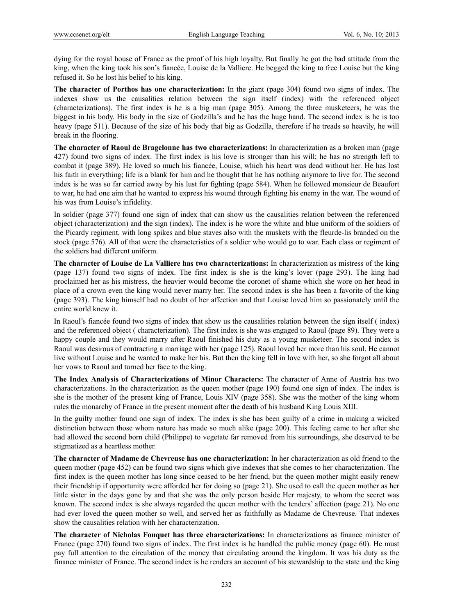dying for the royal house of France as the proof of his high loyalty. But finally he got the bad attitude from the king, when the king took his son's fiancée, Louise de la Valliere. He begged the king to free Louise but the king refused it. So he lost his belief to his king.

**The character of Porthos has one characterization:** In the giant (page 304) found two signs of index. The indexes show us the causalities relation between the sign itself (index) with the referenced object (characterizations). The first index is he is a big man (page 305). Among the three musketeers, he was the biggest in his body. His body in the size of Godzilla's and he has the huge hand. The second index is he is too heavy (page 511). Because of the size of his body that big as Godzilla, therefore if he treads so heavily, he will break in the flooring.

**The character of Raoul de Bragelonne has two characterizations:** In characterization as a broken man (page 427) found two signs of index. The first index is his love is stronger than his will; he has no strength left to combat it (page 389). He loved so much his fiancée, Louise, which his heart was dead without her. He has lost his faith in everything; life is a blank for him and he thought that he has nothing anymore to live for. The second index is he was so far carried away by his lust for fighting (page 584). When he followed monsieur de Beaufort to war, he had one aim that he wanted to express his wound through fighting his enemy in the war. The wound of his was from Louise's infidelity.

In soldier (page 377) found one sign of index that can show us the causalities relation between the referenced object (characterization) and the sign (index). The index is he wore the white and blue uniform of the soldiers of the Picardy regiment, with long spikes and blue staves also with the muskets with the fleurde-lis branded on the stock (page 576). All of that were the characteristics of a soldier who would go to war. Each class or regiment of the soldiers had different uniform.

**The character of Louise de La Valliere has two characterizations:** In characterization as mistress of the king (page 137) found two signs of index. The first index is she is the king's lover (page 293). The king had proclaimed her as his mistress, the heavier would become the coronet of shame which she wore on her head in place of a crown even the king would never marry her. The second index is she has been a favorite of the king (page 393). The king himself had no doubt of her affection and that Louise loved him so passionately until the entire world knew it.

In Raoul's fiancée found two signs of index that show us the causalities relation between the sign itself ( index) and the referenced object ( characterization). The first index is she was engaged to Raoul (page 89). They were a happy couple and they would marry after Raoul finished his duty as a young musketeer. The second index is Raoul was desirous of contracting a marriage with her (page 125). Raoul loved her more than his soul. He cannot live without Louise and he wanted to make her his. But then the king fell in love with her, so she forgot all about her vows to Raoul and turned her face to the king.

**The Index Analysis of Characterizations of Minor Characters:** The character of Anne of Austria has two characterizations. In the characterization as the queen mother (page 190) found one sign of index. The index is she is the mother of the present king of France, Louis XIV (page 358). She was the mother of the king whom rules the monarchy of France in the present moment after the death of his husband King Louis XIII.

In the guilty mother found one sign of index. The index is she has been guilty of a crime in making a wicked distinction between those whom nature has made so much alike (page 200). This feeling came to her after she had allowed the second born child (Philippe) to vegetate far removed from his surroundings, she deserved to be stigmatized as a heartless mother.

**The character of Madame de Chevreuse has one characterization:** In her characterization as old friend to the queen mother (page 452) can be found two signs which give indexes that she comes to her characterization. The first index is the queen mother has long since ceased to be her friend, but the queen mother might easily renew their friendship if opportunity were afforded her for doing so (page 21). She used to call the queen mother as her little sister in the days gone by and that she was the only person beside Her majesty, to whom the secret was known. The second index is she always regarded the queen mother with the tenders' affection (page 21). No one had ever loved the queen mother so well, and served her as faithfully as Madame de Chevreuse. That indexes show the causalities relation with her characterization.

**The character of Nicholas Fouquet has three characterizations:** In characterizations as finance minister of France (page 270) found two signs of index. The first index is he handled the public money (page 60). He must pay full attention to the circulation of the money that circulating around the kingdom. It was his duty as the finance minister of France. The second index is he renders an account of his stewardship to the state and the king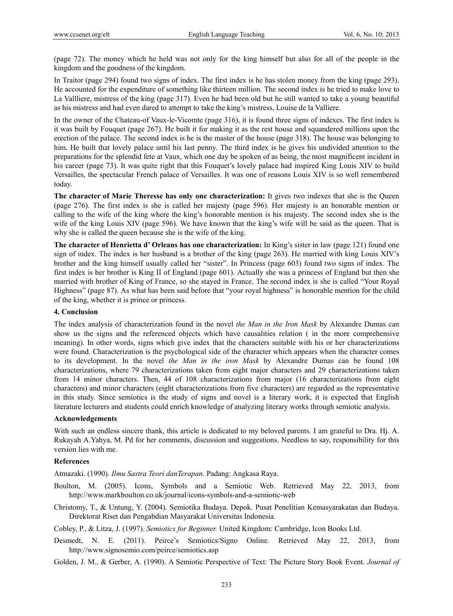(page 72). The money which he held was not only for the king himself but also for all of the people in the kingdom and the goodness of the kingdom.

In Traitor (page 294) found two signs of index. The first index is he has stolen money from the king (page 293). He accounted for the expenditure of something like thirteen million. The second index is he tried to make love to La Vallliere, mistress of the king (page 317). Even he had been old but he still wanted to take a young beautiful as his mistress and had even dared to attempt to take the king's mistress, Louise de la Valliere.

In the owner of the Chateau-of Vaux-le-Vicomte (page 316), it is found three signs of indexes. The first index is it was built by Fouquet (page 267). He built it for making it as the rest house and squandered millions upon the erection of the palace. The second index is he is the master of the house (page 318). The house was belonging to him. He built that lovely palace until his last penny. The third index is he gives his undivided attention to the preparations for the splendid fete at Vaux, which one day be spoken of as being, the most magnificent incident in his career (page 73). It was quite right that this Fouquet's lovely palace had inspired King Louis XIV to build Versailles, the spectacular French palace of Versailles. It was one of reasons Louis XIV is so well remembered today.

**The character of Marie Theresse has only one characterization:** It gives two indexes that she is the Queen (page 276). The first index is she is called her majesty (page 596). Her majesty is an honorable mention or calling to the wife of the king where the king's honorable mention is his majesty. The second index she is the wife of the king Louis XIV (page 596). We have known that the king's wife will be said as the queen. That is why she is called the queen because she is the wife of the king.

**The character of Henrietta d' Orleans has one characterization:** In King's sister in law (page 121) found one sign of index. The index is her husband is a brother of the king (page 263). He married with king Louis XIV's brother and the king himself usually called her "sister". In Princess (page 603) found two signs of index. The first index is her brother is King II of England (page 601). Actually she was a princess of England but then she married with brother of King of France, so she stayed in France. The second index is she is called "Your Royal Highness" (page 87). As what has been said before that "your royal highness" is honorable mention for the child of the king, whether it is prince or princess.

## **4. Conclusion**

The index analysis of characterization found in the novel *the Man in the Iron Mask* by Alexandre Dumas can show us the signs and the referenced objects which have causalities relation ( in the more comprehensive meaning). In other words, signs which give index that the characters suitable with his or her characterizations were found. Characterization is the psychological side of the character which appears when the character comes to its development. In the novel *the Man in the iron Mask* by Alexandre Dumas can be found 108 characterizations, where 79 characterizations taken from eight major characters and 29 characterizations taken from 14 minor characters. Then, 44 of 108 characterizations from major (16 characterizations from eight characters) and minor characters (eight characterizations from five characters) are regarded as the representative in this study. Since semiotics is the study of signs and novel is a literary work, it is expected that English literature lecturers and students could enrich knowledge of analyzing literary works through semiotic analysis.

## **Acknowledgements**

With such an endless sincere thank, this article is dedicated to my beloved parents. I am grateful to Dra. Hj. A. Rukayah A.Yahya, M. Pd for her comments, discussion and suggestions. Needless to say, responsibility for this version lies with me.

## **References**

Atmazaki. (1990)*. Ilmu Sastra Teori danTerapan.* Padang: Angkasa Raya.

- Boulton, M. (2005). Icons, Symbols and a Semiotic Web. Retrieved May 22, 2013, from http://www.markboulton.co.uk/journal/icons-symbols-and-a-semiotic-web
- Christomy, T., & Untung, Y. (2004). Semiotika Budaya. Depok. Pusat Penelitian Kemasyarakatan dan Budaya. Direktorat Riset dan Pengabdian Masyarakat Universitas Indonesia.

Cobley, P., & Litza, J. (1997). *Semiotics for Beginner.* United Kingdom: Cambridge, Icon Books Ltd.

Desmedt, N. E. (2011). Peirce's Semiotics/Signo Online. Retrieved May 22, 2013, from http://www.signosemio.com/peirce/semiotics.asp

Golden, J. M., & Gerber, A. (1990). A Semiotic Perspective of Text: The Picture Story Book Event. *Journal of*